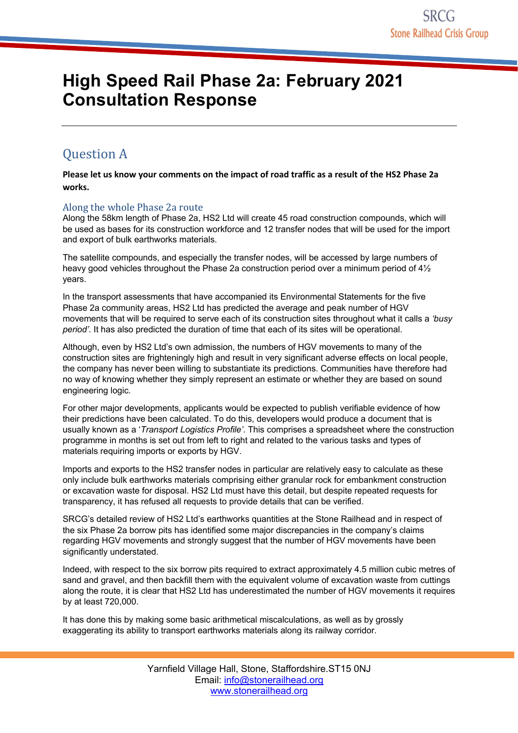# **High Speed Rail Phase 2a: February 2021 Consultation Response**

# **Question A**

**Please let us know your comments on the impact of road traffic as a result of the HS2 Phase 2a works.**

# Along the whole Phase 2a route

Along the 58km length of Phase 2a, HS2 Ltd will create 45 road construction compounds, which will be used as bases for its construction workforce and 12 transfer nodes that will be used for the import and export of bulk earthworks materials.

The satellite compounds, and especially the transfer nodes, will be accessed by large numbers of heavy good vehicles throughout the Phase 2a construction period over a minimum period of  $4\frac{1}{2}$ years.

In the transport assessments that have accompanied its Environmental Statements for the five Phase 2a community areas, HS2 Ltd has predicted the average and peak number of HGV movements that will be required to serve each of its construction sites throughout what it calls a *'busy period'*. It has also predicted the duration of time that each of its sites will be operational.

Although, even by HS2 Ltd's own admission, the numbers of HGV movements to many of the construction sites are frighteningly high and result in very significant adverse effects on local people, the company has never been willing to substantiate its predictions. Communities have therefore had no way of knowing whether they simply represent an estimate or whether they are based on sound engineering logic.

For other major developments, applicants would be expected to publish verifiable evidence of how their predictions have been calculated. To do this, developers would produce a document that is usually known as a '*Transport Logistics Profile'*. This comprises a spreadsheet where the construction programme in months is set out from left to right and related to the various tasks and types of materials requiring imports or exports by HGV.

Imports and exports to the HS2 transfer nodes in particular are relatively easy to calculate as these only include bulk earthworks materials comprising either granular rock for embankment construction or excavation waste for disposal. HS2 Ltd must have this detail, but despite repeated requests for transparency, it has refused all requests to provide details that can be verified.

SRCG's detailed review of HS2 Ltd's earthworks quantities at the Stone Railhead and in respect of the six Phase 2a borrow pits has identified some major discrepancies in the company's claims regarding HGV movements and strongly suggest that the number of HGV movements have been significantly understated.

Indeed, with respect to the six borrow pits required to extract approximately 4.5 million cubic metres of sand and gravel, and then backfill them with the equivalent volume of excavation waste from cuttings along the route, it is clear that HS2 Ltd has underestimated the number of HGV movements it requires by at least 720,000.

It has done this by making some basic arithmetical miscalculations, as well as by grossly exaggerating its ability to transport earthworks materials along its railway corridor.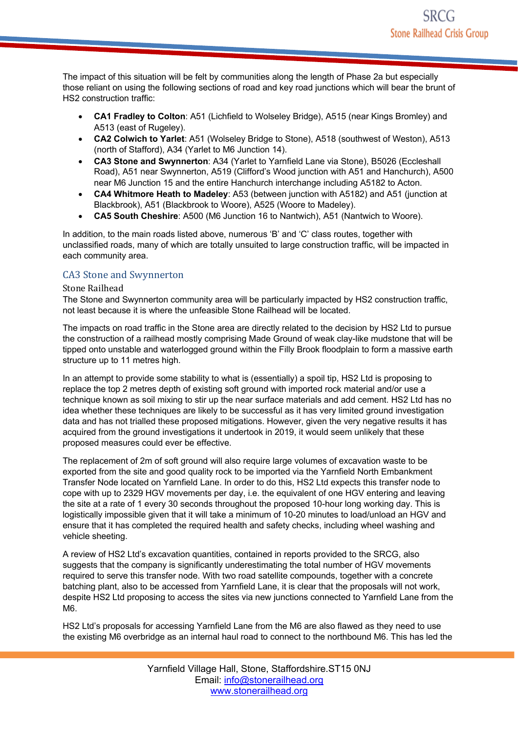The impact of this situation will be felt by communities along the length of Phase 2a but especially those reliant on using the following sections of road and key road junctions which will bear the brunt of HS2 construction traffic:

- **CA1 Fradley to Colton**: A51 (Lichfield to Wolseley Bridge), A515 (near Kings Bromley) and A513 (east of Rugeley).
- **CA2 Colwich to Yarlet**: A51 (Wolseley Bridge to Stone), A518 (southwest of Weston), A513 (north of Stafford), A34 (Yarlet to M6 Junction 14).
- **CA3 Stone and Swynnerton**: A34 (Yarlet to Yarnfield Lane via Stone), B5026 (Eccleshall Road), A51 near Swynnerton, A519 (Clifford's Wood junction with A51 and Hanchurch), A500 near M6 Junction 15 and the entire Hanchurch interchange including A5182 to Acton.
- **CA4 Whitmore Heath to Madeley**: A53 (between junction with A5182) and A51 (junction at Blackbrook), A51 (Blackbrook to Woore), A525 (Woore to Madeley).
- **CA5 South Cheshire**: A500 (M6 Junction 16 to Nantwich), A51 (Nantwich to Woore).

In addition, to the main roads listed above, numerous 'B' and 'C' class routes, together with unclassified roads, many of which are totally unsuited to large construction traffic, will be impacted in each community area.

### CA3 Stone and Swynnerton

#### **Stone Railhead**

The Stone and Swynnerton community area will be particularly impacted by HS2 construction traffic, not least because it is where the unfeasible Stone Railhead will be located.

The impacts on road traffic in the Stone area are directly related to the decision by HS2 Ltd to pursue the construction of a railhead mostly comprising Made Ground of weak clay-like mudstone that will be tipped onto unstable and waterlogged ground within the Filly Brook floodplain to form a massive earth structure up to 11 metres high.

In an attempt to provide some stability to what is (essentially) a spoil tip, HS2 Ltd is proposing to replace the top 2 metres depth of existing soft ground with imported rock material and/or use a technique known as soil mixing to stir up the near surface materials and add cement. HS2 Ltd has no idea whether these techniques are likely to be successful as it has very limited ground investigation data and has not trialled these proposed mitigations. However, given the very negative results it has acquired from the ground investigations it undertook in 2019, it would seem unlikely that these proposed measures could ever be effective.

The replacement of 2m of soft ground will also require large volumes of excavation waste to be exported from the site and good quality rock to be imported via the Yarnfield North Embankment Transfer Node located on Yarnfield Lane. In order to do this, HS2 Ltd expects this transfer node to cope with up to 2329 HGV movements per day, i.e. the equivalent of one HGV entering and leaving the site at a rate of 1 every 30 seconds throughout the proposed 10-hour long working day. This is logistically impossible given that it will take a minimum of 10-20 minutes to load/unload an HGV and ensure that it has completed the required health and safety checks, including wheel washing and vehicle sheeting.

A review of HS2 Ltd's excavation quantities, contained in reports provided to the SRCG, also suggests that the company is significantly underestimating the total number of HGV movements required to serve this transfer node. With two road satellite compounds, together with a concrete batching plant, also to be accessed from Yarnfield Lane, it is clear that the proposals will not work, despite HS2 Ltd proposing to access the sites via new junctions connected to Yarnfield Lane from the M6.

HS2 Ltd's proposals for accessing Yarnfield Lane from the M6 are also flawed as they need to use the existing M6 overbridge as an internal haul road to connect to the northbound M6. This has led the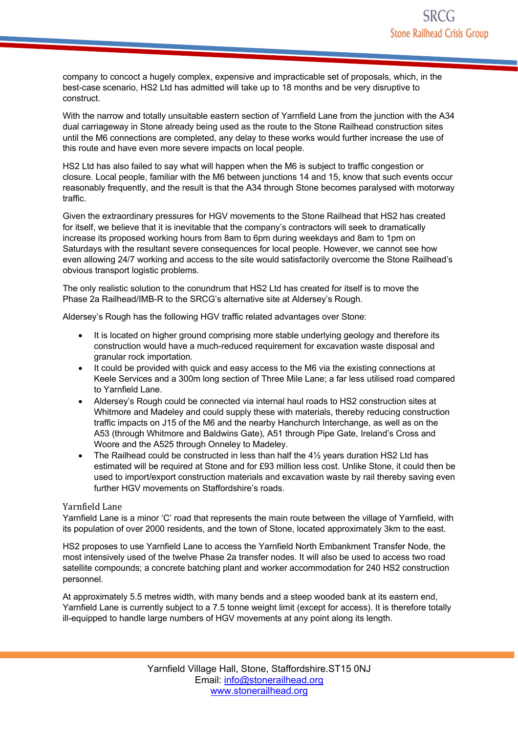company to concoct a hugely complex, expensive and impracticable set of proposals, which, in the best-case scenario, HS2 Ltd has admitted will take up to 18 months and be very disruptive to construct.

With the narrow and totally unsuitable eastern section of Yarnfield Lane from the junction with the A34 dual carriageway in Stone already being used as the route to the Stone Railhead construction sites until the M6 connections are completed, any delay to these works would further increase the use of this route and have even more severe impacts on local people.

HS2 Ltd has also failed to say what will happen when the M6 is subject to traffic congestion or closure. Local people, familiar with the M6 between junctions 14 and 15, know that such events occur reasonably frequently, and the result is that the A34 through Stone becomes paralysed with motorway traffic.

Given the extraordinary pressures for HGV movements to the Stone Railhead that HS2 has created for itself, we believe that it is inevitable that the company's contractors will seek to dramatically increase its proposed working hours from 8am to 6pm during weekdays and 8am to 1pm on Saturdays with the resultant severe consequences for local people. However, we cannot see how even allowing 24/7 working and access to the site would satisfactorily overcome the Stone Railhead's obvious transport logistic problems.

The only realistic solution to the conundrum that HS2 Ltd has created for itself is to move the Phase 2a Railhead/IMB-R to the SRCG's alternative site at Aldersey's Rough.

Aldersey's Rough has the following HGV traffic related advantages over Stone:

- It is located on higher ground comprising more stable underlying geology and therefore its construction would have a much-reduced requirement for excavation waste disposal and granular rock importation.
- It could be provided with quick and easy access to the M6 via the existing connections at Keele Services and a 300m long section of Three Mile Lane; a far less utilised road compared to Yarnfield Lane.
- Aldersey's Rough could be connected via internal haul roads to HS2 construction sites at Whitmore and Madeley and could supply these with materials, thereby reducing construction traffic impacts on J15 of the M6 and the nearby Hanchurch Interchange, as well as on the A53 (through Whitmore and Baldwins Gate), A51 through Pipe Gate, Ireland's Cross and Woore and the A525 through Onneley to Madeley.
- The Railhead could be constructed in less than half the  $4\frac{1}{2}$  years duration HS2 Ltd has estimated will be required at Stone and for £93 million less cost. Unlike Stone, it could then be used to import/export construction materials and excavation waste by rail thereby saving even further HGV movements on Staffordshire's roads.

### Yarnfield Lane

Yarnfield Lane is a minor 'C' road that represents the main route between the village of Yarnfield, with its population of over 2000 residents, and the town of Stone, located approximately 3km to the east.

HS2 proposes to use Yarnfield Lane to access the Yarnfield North Embankment Transfer Node, the most intensively used of the twelve Phase 2a transfer nodes. It will also be used to access two road satellite compounds; a concrete batching plant and worker accommodation for 240 HS2 construction personnel.

At approximately 5.5 metres width, with many bends and a steep wooded bank at its eastern end, Yarnfield Lane is currently subject to a 7.5 tonne weight limit (except for access). It is therefore totally ill-equipped to handle large numbers of HGV movements at any point along its length.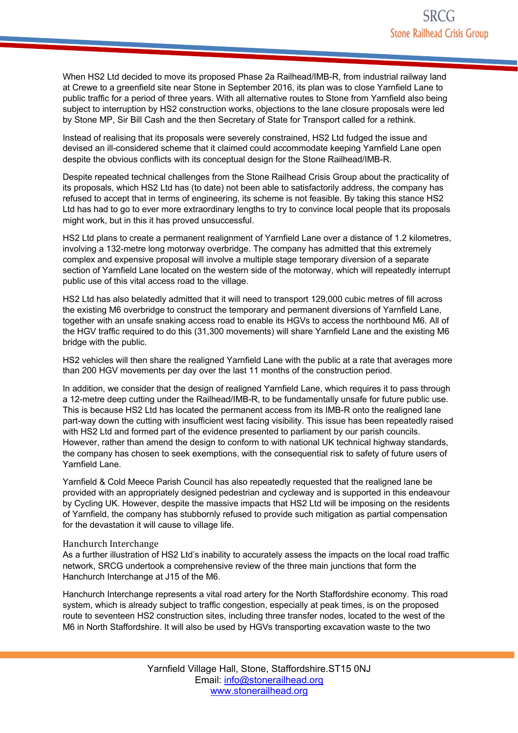When HS2 Ltd decided to move its proposed Phase 2a Railhead/IMB-R, from industrial railway land at Crewe to a greenfield site near Stone in September 2016, its plan was to close Yarnfield Lane to public traffic for a period of three years. With all alternative routes to Stone from Yarnfield also being subject to interruption by HS2 construction works, objections to the lane closure proposals were led by Stone MP, Sir Bill Cash and the then Secretary of State for Transport called for a rethink.

Instead of realising that its proposals were severely constrained, HS2 Ltd fudged the issue and devised an ill-considered scheme that it claimed could accommodate keeping Yarnfield Lane open despite the obvious conflicts with its conceptual design for the Stone Railhead/IMB-R.

Despite repeated technical challenges from the Stone Railhead Crisis Group about the practicality of its proposals, which HS2 Ltd has (to date) not been able to satisfactorily address, the company has refused to accept that in terms of engineering, its scheme is not feasible. By taking this stance HS2 Ltd has had to go to ever more extraordinary lengths to try to convince local people that its proposals might work, but in this it has proved unsuccessful.

HS2 Ltd plans to create a permanent realignment of Yarnfield Lane over a distance of 1.2 kilometres, involving a 132-metre long motorway overbridge. The company has admitted that this extremely complex and expensive proposal will involve a multiple stage temporary diversion of a separate section of Yarnfield Lane located on the western side of the motorway, which will repeatedly interrupt public use of this vital access road to the village.

HS2 Ltd has also belatedly admitted that it will need to transport 129,000 cubic metres of fill across the existing M6 overbridge to construct the temporary and permanent diversions of Yarnfield Lane, together with an unsafe snaking access road to enable its HGVs to access the northbound M6. All of the HGV traffic required to do this (31,300 movements) will share Yarnfield Lane and the existing M6 bridge with the public.

HS2 vehicles will then share the realigned Yarnfield Lane with the public at a rate that averages more than 200 HGV movements per day over the last 11 months of the construction period.

In addition, we consider that the design of realigned Yarnfield Lane, which requires it to pass through a 12-metre deep cutting under the Railhead/IMB-R, to be fundamentally unsafe for future public use. This is because HS2 Ltd has located the permanent access from its IMB-R onto the realigned lane part-way down the cutting with insufficient west facing visibility. This issue has been repeatedly raised with HS2 Ltd and formed part of the evidence presented to parliament by our parish councils. However, rather than amend the design to conform to with national UK technical highway standards, the company has chosen to seek exemptions, with the consequential risk to safety of future users of Yarnfield Lane.

Yarnfield & Cold Meece Parish Council has also repeatedly requested that the realigned lane be provided with an appropriately designed pedestrian and cycleway and is supported in this endeavour by Cycling UK. However, despite the massive impacts that HS2 Ltd will be imposing on the residents of Yarnfield, the company has stubbornly refused to provide such mitigation as partial compensation for the devastation it will cause to village life.

### Hanchurch Interchange

As a further illustration of HS2 Ltd's inability to accurately assess the impacts on the local road traffic network, SRCG undertook a comprehensive review of the three main junctions that form the Hanchurch Interchange at J15 of the M6.

Hanchurch Interchange represents a vital road artery for the North Staffordshire economy. This road system, which is already subject to traffic congestion, especially at peak times, is on the proposed route to seventeen HS2 construction sites, including three transfer nodes, located to the west of the M6 in North Staffordshire. It will also be used by HGVs transporting excavation waste to the two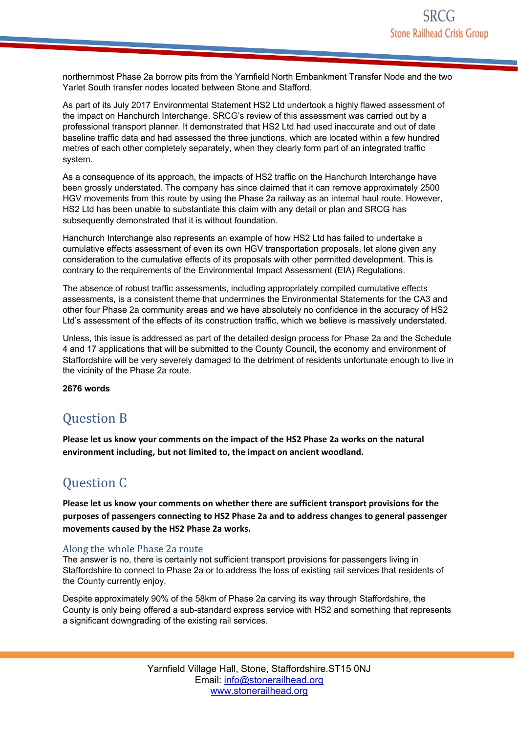northernmost Phase 2a borrow pits from the Yarnfield North Embankment Transfer Node and the two Yarlet South transfer nodes located between Stone and Stafford.

As part of its July 2017 Environmental Statement HS2 Ltd undertook a highly flawed assessment of the impact on Hanchurch Interchange. SRCG's review of this assessment was carried out by a professional transport planner. It demonstrated that HS2 Ltd had used inaccurate and out of date baseline traffic data and had assessed the three junctions, which are located within a few hundred metres of each other completely separately, when they clearly form part of an integrated traffic system.

As a consequence of its approach, the impacts of HS2 traffic on the Hanchurch Interchange have been grossly understated. The company has since claimed that it can remove approximately 2500 HGV movements from this route by using the Phase 2a railway as an internal haul route. However, HS2 Ltd has been unable to substantiate this claim with any detail or plan and SRCG has subsequently demonstrated that it is without foundation.

Hanchurch Interchange also represents an example of how HS2 Ltd has failed to undertake a cumulative effects assessment of even its own HGV transportation proposals, let alone given any consideration to the cumulative effects of its proposals with other permitted development. This is contrary to the requirements of the Environmental Impact Assessment (EIA) Regulations.

The absence of robust traffic assessments, including appropriately compiled cumulative effects assessments, is a consistent theme that undermines the Environmental Statements for the CA3 and other four Phase 2a community areas and we have absolutely no confidence in the accuracy of HS2 Ltd's assessment of the effects of its construction traffic, which we believe is massively understated.

Unless, this issue is addressed as part of the detailed design process for Phase 2a and the Schedule 4 and 17 applications that will be submitted to the County Council, the economy and environment of Staffordshire will be very severely damaged to the detriment of residents unfortunate enough to live in the vicinity of the Phase 2a route.

**2676 words**

# **Question B**

**Please let us know your comments on the impact of the HS2 Phase 2a works on the natural environment including, but not limited to, the impact on ancient woodland.**

# **Ouestion C**

**Please let us know your comments on whether there are sufficient transport provisions for the purposes of passengers connecting to HS2 Phase 2a and to address changes to general passenger movements caused by the HS2 Phase 2a works.**

## Along the whole Phase 2a route

The answer is no, there is certainly not sufficient transport provisions for passengers living in Staffordshire to connect to Phase 2a or to address the loss of existing rail services that residents of the County currently enjoy.

Despite approximately 90% of the 58km of Phase 2a carving its way through Staffordshire, the County is only being offered a sub-standard express service with HS2 and something that represents a significant downgrading of the existing rail services.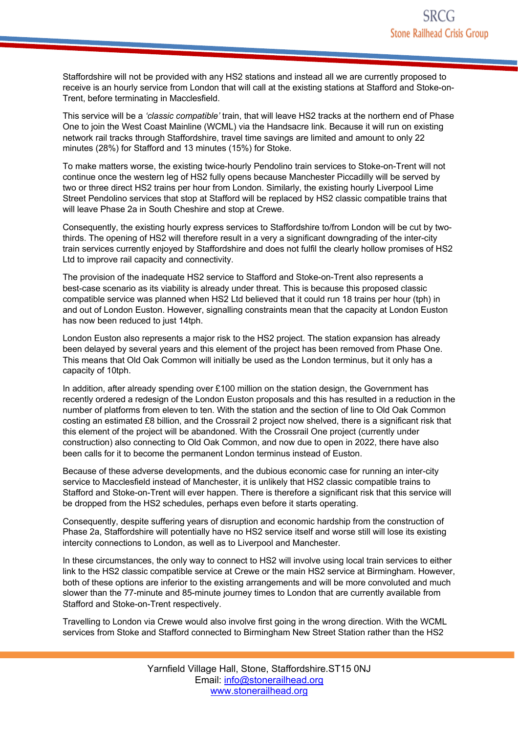Staffordshire will not be provided with any HS2 stations and instead all we are currently proposed to receive is an hourly service from London that will call at the existing stations at Stafford and Stoke-on-Trent, before terminating in Macclesfield.

This service will be a *'classic compatible'* train, that will leave HS2 tracks at the northern end of Phase One to join the West Coast Mainline (WCML) via the Handsacre link. Because it will run on existing network rail tracks through Staffordshire, travel time savings are limited and amount to only 22 minutes (28%) for Stafford and 13 minutes (15%) for Stoke.

To make matters worse, the existing twice-hourly Pendolino train services to Stoke-on-Trent will not continue once the western leg of HS2 fully opens because Manchester Piccadilly will be served by two or three direct HS2 trains per hour from London. Similarly, the existing hourly Liverpool Lime Street Pendolino services that stop at Stafford will be replaced by HS2 classic compatible trains that will leave Phase 2a in South Cheshire and stop at Crewe.

Consequently, the existing hourly express services to Staffordshire to/from London will be cut by twothirds. The opening of HS2 will therefore result in a very a significant downgrading of the inter-city train services currently enjoyed by Staffordshire and does not fulfil the clearly hollow promises of HS2 Ltd to improve rail capacity and connectivity.

The provision of the inadequate HS2 service to Stafford and Stoke-on-Trent also represents a best-case scenario as its viability is already under threat. This is because this proposed classic compatible service was planned when HS2 Ltd believed that it could run 18 trains per hour (tph) in and out of London Euston. However, signalling constraints mean that the capacity at London Euston has now been reduced to just 14tph.

London Euston also represents a major risk to the HS2 project. The station expansion has already been delayed by several years and this element of the project has been removed from Phase One. This means that Old Oak Common will initially be used as the London terminus, but it only has a capacity of 10tph.

In addition, after already spending over £100 million on the station design, the Government has recently ordered a redesign of the London Euston proposals and this has resulted in a reduction in the number of platforms from eleven to ten. With the station and the section of line to Old Oak Common costing an estimated £8 billion, and the Crossrail 2 project now shelved, there is a significant risk that this element of the project will be abandoned. With the Crossrail One project (currently under construction) also connecting to Old Oak Common, and now due to open in 2022, there have also been calls for it to become the permanent London terminus instead of Euston.

Because of these adverse developments, and the dubious economic case for running an inter-city service to Macclesfield instead of Manchester, it is unlikely that HS2 classic compatible trains to Stafford and Stoke-on-Trent will ever happen. There is therefore a significant risk that this service will be dropped from the HS2 schedules, perhaps even before it starts operating.

Consequently, despite suffering years of disruption and economic hardship from the construction of Phase 2a, Staffordshire will potentially have no HS2 service itself and worse still will lose its existing intercity connections to London, as well as to Liverpool and Manchester.

In these circumstances, the only way to connect to HS2 will involve using local train services to either link to the HS2 classic compatible service at Crewe or the main HS2 service at Birmingham. However, both of these options are inferior to the existing arrangements and will be more convoluted and much slower than the 77-minute and 85-minute journey times to London that are currently available from Stafford and Stoke-on-Trent respectively.

Travelling to London via Crewe would also involve first going in the wrong direction. With the WCML services from Stoke and Stafford connected to Birmingham New Street Station rather than the HS2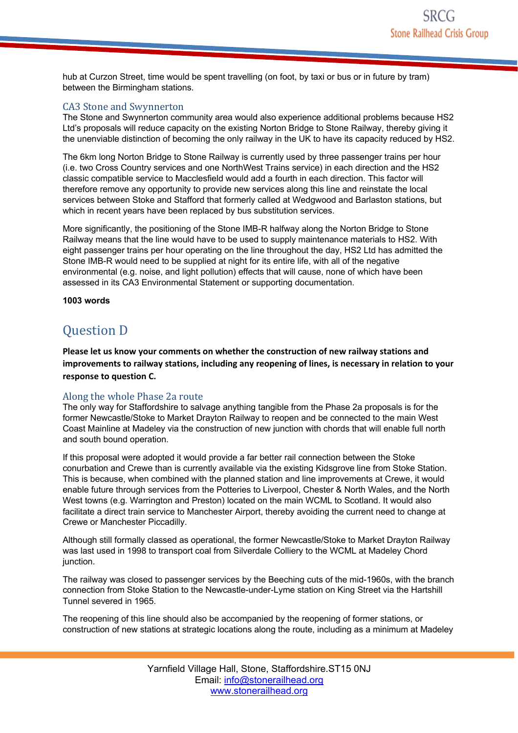hub at Curzon Street, time would be spent travelling (on foot, by taxi or bus or in future by tram) between the Birmingham stations.

### CA3 Stone and Swynnerton

The Stone and Swynnerton community area would also experience additional problems because HS2 Ltd's proposals will reduce capacity on the existing Norton Bridge to Stone Railway, thereby giving it the unenviable distinction of becoming the only railway in the UK to have its capacity reduced by HS2.

The 6km long Norton Bridge to Stone Railway is currently used by three passenger trains per hour (i.e. two Cross Country services and one NorthWest Trains service) in each direction and the HS2 classic compatible service to Macclesfield would add a fourth in each direction. This factor will therefore remove any opportunity to provide new services along this line and reinstate the local services between Stoke and Stafford that formerly called at Wedgwood and Barlaston stations, but which in recent years have been replaced by bus substitution services.

More significantly, the positioning of the Stone IMB-R halfway along the Norton Bridge to Stone Railway means that the line would have to be used to supply maintenance materials to HS2. With eight passenger trains per hour operating on the line throughout the day, HS2 Ltd has admitted the Stone IMB-R would need to be supplied at night for its entire life, with all of the negative environmental (e.g. noise, and light pollution) effects that will cause, none of which have been assessed in its CA3 Environmental Statement or supporting documentation.

### **1003 words**

# **Question D**

**Please let us know your comments on whether the construction of new railway stations and improvements to railway stations, including any reopening of lines, is necessary in relation to your response to question C.**

## Along the whole Phase 2a route

The only way for Staffordshire to salvage anything tangible from the Phase 2a proposals is for the former Newcastle/Stoke to Market Drayton Railway to reopen and be connected to the main West Coast Mainline at Madeley via the construction of new junction with chords that will enable full north and south bound operation.

If this proposal were adopted it would provide a far better rail connection between the Stoke conurbation and Crewe than is currently available via the existing Kidsgrove line from Stoke Station. This is because, when combined with the planned station and line improvements at Crewe, it would enable future through services from the Potteries to Liverpool, Chester & North Wales, and the North West towns (e.g. Warrington and Preston) located on the main WCML to Scotland. It would also facilitate a direct train service to Manchester Airport, thereby avoiding the current need to change at Crewe or Manchester Piccadilly.

Although still formally classed as operational, the former Newcastle/Stoke to Market Drayton Railway was last used in 1998 to transport coal from Silverdale Colliery to the WCML at Madeley Chord junction.

The railway was closed to passenger services by the Beeching cuts of the mid-1960s, with the branch connection from Stoke Station to the Newcastle-under-Lyme station on King Street via the Hartshill Tunnel severed in 1965.

The reopening of this line should also be accompanied by the reopening of former stations, or construction of new stations at strategic locations along the route, including as a minimum at Madeley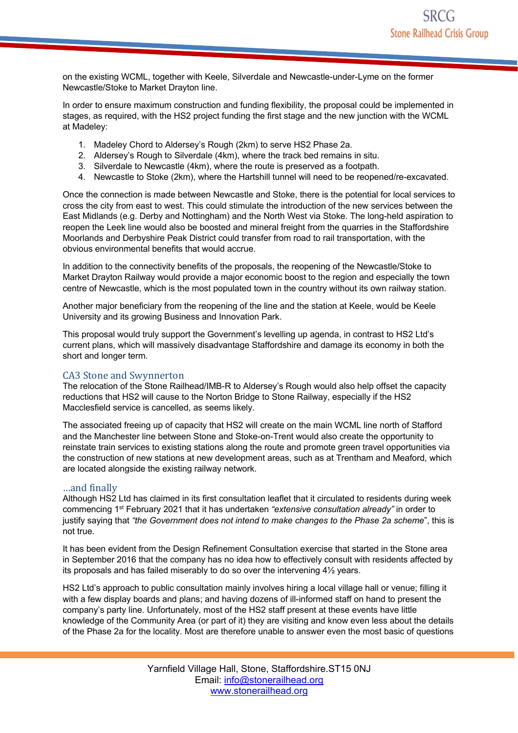on the existing WCML, together with Keele, Silverdale and Newcastle-under-Lyme on the former Newcastle/Stoke to Market Drayton line.

In order to ensure maximum construction and funding flexibility, the proposal could be implemented in stages, as required, with the HS2 project funding the first stage and the new junction with the WCML at Madeley:

- 1. Madeley Chord to Aldersey's Rough (2km) to serve HS2 Phase 2a.
- 2. Aldersey's Rough to Silverdale (4km), where the track bed remains in situ.
- 3. Silverdale to Newcastle (4km), where the route is preserved as a footpath.
- 4. Newcastle to Stoke (2km), where the Hartshill tunnel will need to be reopened/re-excavated.

Once the connection is made between Newcastle and Stoke, there is the potential for local services to cross the city from east to west. This could stimulate the introduction of the new services between the East Midlands (e.g. Derby and Nottingham) and the North West via Stoke. The long-held aspiration to reopen the Leek line would also be boosted and mineral freight from the quarries in the Staffordshire Moorlands and Derbyshire Peak District could transfer from road to rail transportation, with the obvious environmental benefits that would accrue.

In addition to the connectivity benefits of the proposals, the reopening of the Newcastle/Stoke to Market Drayton Railway would provide a major economic boost to the region and especially the town centre of Newcastle, which is the most populated town in the country without its own railway station.

Another major beneficiary from the reopening of the line and the station at Keele, would be Keele University and its growing Business and Innovation Park.

This proposal would truly support the Government's levelling up agenda, in contrast to HS2 Ltd's current plans, which will massively disadvantage Staffordshire and damage its economy in both the short and longer term.

### CA3 Stone and Swynnerton

The relocation of the Stone Railhead/IMB-R to Aldersey's Rough would also help offset the capacity reductions that HS2 will cause to the Norton Bridge to Stone Railway, especially if the HS2 Macclesfield service is cancelled, as seems likely.

The associated freeing up of capacity that HS2 will create on the main WCML line north of Stafford and the Manchester line between Stone and Stoke-on-Trent would also create the opportunity to reinstate train services to existing stations along the route and promote green travel opportunities via the construction of new stations at new development areas, such as at Trentham and Meaford, which are located alongside the existing railway network.

### …and finally

Although HS2 Ltd has claimed in its first consultation leaflet that it circulated to residents during week commencing 1st February 2021 that it has undertaken *"extensive consultation already"* in order to justify saying that *"the Government does not intend to make changes to the Phase 2a scheme*", this is not true.

It has been evident from the Design Refinement Consultation exercise that started in the Stone area in September 2016 that the company has no idea how to effectively consult with residents affected by its proposals and has failed miserably to do so over the intervening 4½ years.

HS2 Ltd's approach to public consultation mainly involves hiring a local village hall or venue; filling it with a few display boards and plans; and having dozens of ill-informed staff on hand to present the company's party line. Unfortunately, most of the HS2 staff present at these events have little knowledge of the Community Area (or part of it) they are visiting and know even less about the details of the Phase 2a for the locality. Most are therefore unable to answer even the most basic of questions